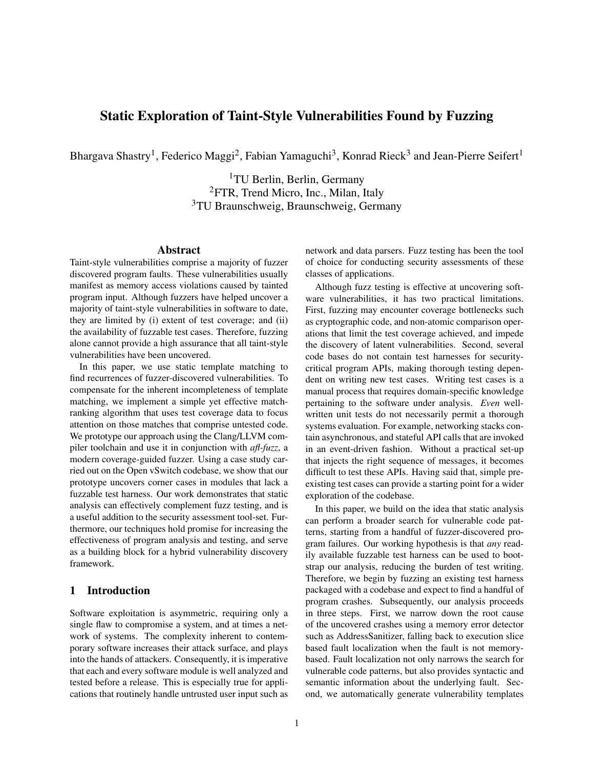# Static Exploration of Taint-Style Vulnerabilities Found by Fuzzing

Bhargava Shastry<sup>1</sup>, Federico Maggi<sup>2</sup>, Fabian Yamaguchi<sup>3</sup>, Konrad Rieck<sup>3</sup> and Jean-Pierre Seifert<sup>1</sup>

<sup>1</sup>TU Berlin, Berlin, Germany <sup>2</sup>FTR, Trend Micro, Inc., Milan, Italy <sup>3</sup>TU Braunschweig, Braunschweig, Germany

#### Abstract

Taint-style vulnerabilities comprise a majority of fuzzer discovered program faults. These vulnerabilities usually manifest as memory access violations caused by tainted program input. Although fuzzers have helped uncover a majority of taint-style vulnerabilities in software to date, they are limited by (i) extent of test coverage; and (ii) the availability of fuzzable test cases. Therefore, fuzzing alone cannot provide a high assurance that all taint-style vulnerabilities have been uncovered.

In this paper, we use static template matching to find recurrences of fuzzer-discovered vulnerabilities. To compensate for the inherent incompleteness of template matching, we implement a simple yet effective matchranking algorithm that uses test coverage data to focus attention on those matches that comprise untested code. We prototype our approach using the Clang/LLVM compiler toolchain and use it in conjunction with *afl-fuzz*, a modern coverage-guided fuzzer. Using a case study carried out on the Open vSwitch codebase, we show that our prototype uncovers corner cases in modules that lack a fuzzable test harness. Our work demonstrates that static analysis can effectively complement fuzz testing, and is a useful addition to the security assessment tool-set. Furthermore, our techniques hold promise for increasing the effectiveness of program analysis and testing, and serve as a building block for a hybrid vulnerability discovery framework.

# 1 Introduction

Software exploitation is asymmetric, requiring only a single flaw to compromise a system, and at times a network of systems. The complexity inherent to contemporary software increases their attack surface, and plays into the hands of attackers. Consequently, it is imperative that each and every software module is well analyzed and tested before a release. This is especially true for applications that routinely handle untrusted user input such as network and data parsers. Fuzz testing has been the tool of choice for conducting security assessments of these classes of applications.

Although fuzz testing is effective at uncovering software vulnerabilities, it has two practical limitations. First, fuzzing may encounter coverage bottlenecks such as cryptographic code, and non-atomic comparison operations that limit the test coverage achieved, and impede the discovery of latent vulnerabilities. Second, several code bases do not contain test harnesses for securitycritical program APIs, making thorough testing dependent on writing new test cases. Writing test cases is a manual process that requires domain-specific knowledge pertaining to the software under analysis. *Even* wellwritten unit tests do not necessarily permit a thorough systems evaluation. For example, networking stacks contain asynchronous, and stateful API calls that are invoked in an event-driven fashion. Without a practical set-up that injects the right sequence of messages, it becomes difficult to test these APIs. Having said that, simple preexisting test cases can provide a starting point for a wider exploration of the codebase.

In this paper, we build on the idea that static analysis can perform a broader search for vulnerable code patterns, starting from a handful of fuzzer-discovered program failures. Our working hypothesis is that *any* readily available fuzzable test harness can be used to bootstrap our analysis, reducing the burden of test writing. Therefore, we begin by fuzzing an existing test harness packaged with a codebase and expect to find a handful of program crashes. Subsequently, our analysis proceeds in three steps. First, we narrow down the root cause of the uncovered crashes using a memory error detector such as AddressSanitizer, falling back to execution slice based fault localization when the fault is not memorybased. Fault localization not only narrows the search for vulnerable code patterns, but also provides syntactic and semantic information about the underlying fault. Second, we automatically generate vulnerability templates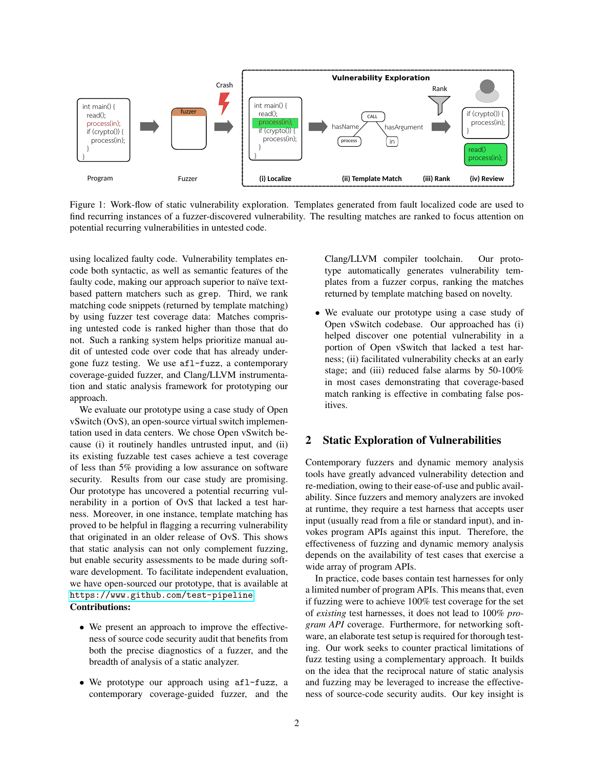

Figure 1: Work-flow of static vulnerability exploration. Templates generated from fault localized code are used to find recurring instances of a fuzzer-discovered vulnerability. The resulting matches are ranked to focus attention on potential recurring vulnerabilities in untested code.

using localized faulty code. Vulnerability templates encode both syntactic, as well as semantic features of the faulty code, making our approach superior to naïve textbased pattern matchers such as grep. Third, we rank matching code snippets (returned by template matching) by using fuzzer test coverage data: Matches comprising untested code is ranked higher than those that do not. Such a ranking system helps prioritize manual audit of untested code over code that has already undergone fuzz testing. We use afl-fuzz, a contemporary coverage-guided fuzzer, and Clang/LLVM instrumentation and static analysis framework for prototyping our approach.

We evaluate our prototype using a case study of Open vSwitch (OvS), an open-source virtual switch implementation used in data centers. We chose Open vSwitch because (i) it routinely handles untrusted input, and (ii) its existing fuzzable test cases achieve a test coverage of less than 5% providing a low assurance on software security. Results from our case study are promising. Our prototype has uncovered a potential recurring vulnerability in a portion of OvS that lacked a test harness. Moreover, in one instance, template matching has proved to be helpful in flagging a recurring vulnerability that originated in an older release of OvS. This shows that static analysis can not only complement fuzzing, but enable security assessments to be made during software development. To facilitate independent evaluation, we have open-sourced our prototype, that is available at <https://www.github.com/test-pipeline>. Contributions:

- We present an approach to improve the effectiveness of source code security audit that benefits from both the precise diagnostics of a fuzzer, and the breadth of analysis of a static analyzer.
- We prototype our approach using afl-fuzz, a contemporary coverage-guided fuzzer, and the

Clang/LLVM compiler toolchain. Our prototype automatically generates vulnerability templates from a fuzzer corpus, ranking the matches returned by template matching based on novelty.

• We evaluate our prototype using a case study of Open vSwitch codebase. Our approached has (i) helped discover one potential vulnerability in a portion of Open vSwitch that lacked a test harness; (ii) facilitated vulnerability checks at an early stage; and (iii) reduced false alarms by 50-100% in most cases demonstrating that coverage-based match ranking is effective in combating false positives.

### 2 Static Exploration of Vulnerabilities

Contemporary fuzzers and dynamic memory analysis tools have greatly advanced vulnerability detection and re-mediation, owing to their ease-of-use and public availability. Since fuzzers and memory analyzers are invoked at runtime, they require a test harness that accepts user input (usually read from a file or standard input), and invokes program APIs against this input. Therefore, the effectiveness of fuzzing and dynamic memory analysis depends on the availability of test cases that exercise a wide array of program APIs.

In practice, code bases contain test harnesses for only a limited number of program APIs. This means that, even if fuzzing were to achieve 100% test coverage for the set of *existing* test harnesses, it does not lead to 100% *program API* coverage. Furthermore, for networking software, an elaborate test setup is required for thorough testing. Our work seeks to counter practical limitations of fuzz testing using a complementary approach. It builds on the idea that the reciprocal nature of static analysis and fuzzing may be leveraged to increase the effectiveness of source-code security audits. Our key insight is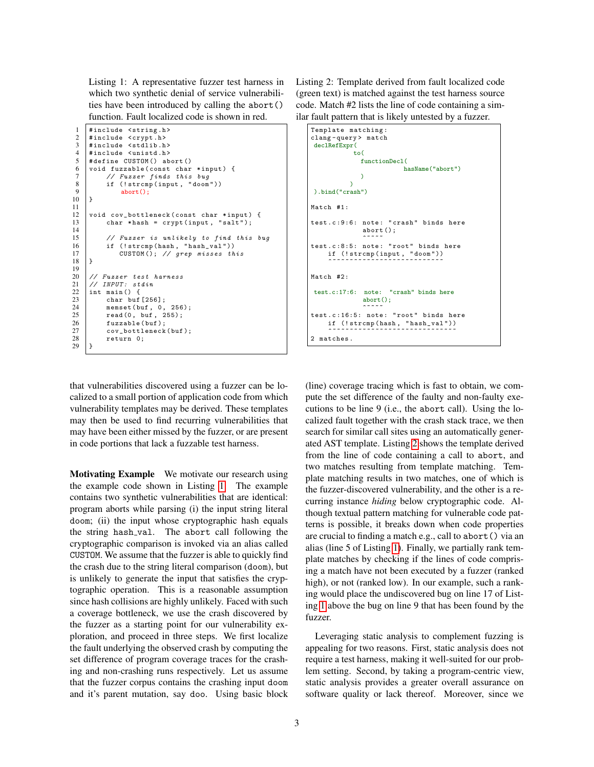<span id="page-2-0"></span>Listing 1: A representative fuzzer test harness in which two synthetic denial of service vulnerabilities have been introduced by calling the abort() function. Fault localized code is shown in red.

```
1 #include <string.h><br>2 #include <crypt.h>
 2 | #include <crypt.h><br>3 | #include <stdlib.h
 \begin{array}{c|c}\n3 & \text{#include} & \text{stdlib.h}\n4 & \text{#include} & \text{tubd}.\n\end{array}4 #include <unistd.h><br>5 #define CUSTOM() ab
 5 # define CUSTOM () abort ()<br>6 yoid fuzzable (const char
 6 void fuzzable (const char *input) {<br>
\frac{7}{7} // Fuzzer finds this bug
 7 // Fuzzer finds this bug<br>8 if (!strcmp(input, "doom
 8 if (!strcmp(input, "doom"))<br>9 abort();
        abort();<br>}
10 \,\frac{11}{12}12 void cov_bottleneck (const char *input) {<br>13 char *hash = crypt (input, "salt");
                char * hash = crypt(input, "salt");\frac{14}{15}// Fuzzer is unlikely to find this bug
16 if (!strcmp(hash, "hash_val"))<br>17 CUSTOM(); // grep misses the
                      CUSTOM(); // grep misses this
18 }
\frac{19}{20}20 \frac{1}{2} // Fuzzer test harness<br>21 // INPUT: stdin
21 // INPUT: stdin<br>22 int main () {
\begin{array}{c|c} 22 \\ 23 \end{array} int main () {<br>char buf
\begin{array}{c|c} 23 & \text{char but} & [256]; \\ 24 & \text{memset (buf. 0.} \end{array}24 memset (buf, 0, 256);<br>25 read (0, buf, 255);
\begin{array}{c|c}\n 25 & \text{read}(0, \text{buf}, 255);\n 26 & \text{fuzzable(buf)}:\n \end{array}26 fuzzable (buf);<br>27 cov_bottleneck
                cov_bottleneck(buf);
28 return 0;
29 \mid \}
```
<span id="page-2-1"></span>Listing 2: Template derived from fault localized code (green text) is matched against the test harness source code. Match #2 lists the line of code containing a similar fault pattern that is likely untested by a fuzzer.

```
Template matching :
clang - query > match
declRefExpr(
             to(
               functionDecl(
                             hasName("abort")
               )
            \lambda).bind("crash")
Match #1:
test.c:9:6: note: "crash" binds here
                abort ();
                ^~~~~
test.c:8:5: note: "root" binds here
     if (!strcmp(input, "doom"))<br>^~~~~~~~~~~~~~~~~~~~~~~~~~~~
Match #2:
test.c:17:6: note: "crash" binds here
                abort();
^~~~~
test .c :16:5: note : " root " binds here
     if (!strcmp(hash, "hash_val"))<br>^~~~~~~~~~~~~~~~~~~~~~~~~~~~~~~
2 matches .
```
that vulnerabilities discovered using a fuzzer can be localized to a small portion of application code from which vulnerability templates may be derived. These templates may then be used to find recurring vulnerabilities that may have been either missed by the fuzzer, or are present in code portions that lack a fuzzable test harness.

Motivating Example We motivate our research using the example code shown in Listing [1.](#page-2-0) The example contains two synthetic vulnerabilities that are identical: program aborts while parsing (i) the input string literal doom; (ii) the input whose cryptographic hash equals the string hash val. The abort call following the cryptographic comparison is invoked via an alias called CUSTOM. We assume that the fuzzer is able to quickly find the crash due to the string literal comparison (doom), but is unlikely to generate the input that satisfies the cryptographic operation. This is a reasonable assumption since hash collisions are highly unlikely. Faced with such a coverage bottleneck, we use the crash discovered by the fuzzer as a starting point for our vulnerability exploration, and proceed in three steps. We first localize the fault underlying the observed crash by computing the set difference of program coverage traces for the crashing and non-crashing runs respectively. Let us assume that the fuzzer corpus contains the crashing input doom and it's parent mutation, say doo. Using basic block

(line) coverage tracing which is fast to obtain, we compute the set difference of the faulty and non-faulty executions to be line 9 (i.e., the abort call). Using the localized fault together with the crash stack trace, we then search for similar call sites using an automatically generated AST template. Listing [2](#page-2-1) shows the template derived from the line of code containing a call to abort, and two matches resulting from template matching. Template matching results in two matches, one of which is the fuzzer-discovered vulnerability, and the other is a recurring instance *hiding* below cryptographic code. Although textual pattern matching for vulnerable code patterns is possible, it breaks down when code properties are crucial to finding a match e.g., call to abort() via an alias (line 5 of Listing [1\)](#page-2-0). Finally, we partially rank template matches by checking if the lines of code comprising a match have not been executed by a fuzzer (ranked high), or not (ranked low). In our example, such a ranking would place the undiscovered bug on line 17 of Listing [1](#page-2-0) above the bug on line 9 that has been found by the fuzzer.

Leveraging static analysis to complement fuzzing is appealing for two reasons. First, static analysis does not require a test harness, making it well-suited for our problem setting. Second, by taking a program-centric view, static analysis provides a greater overall assurance on software quality or lack thereof. Moreover, since we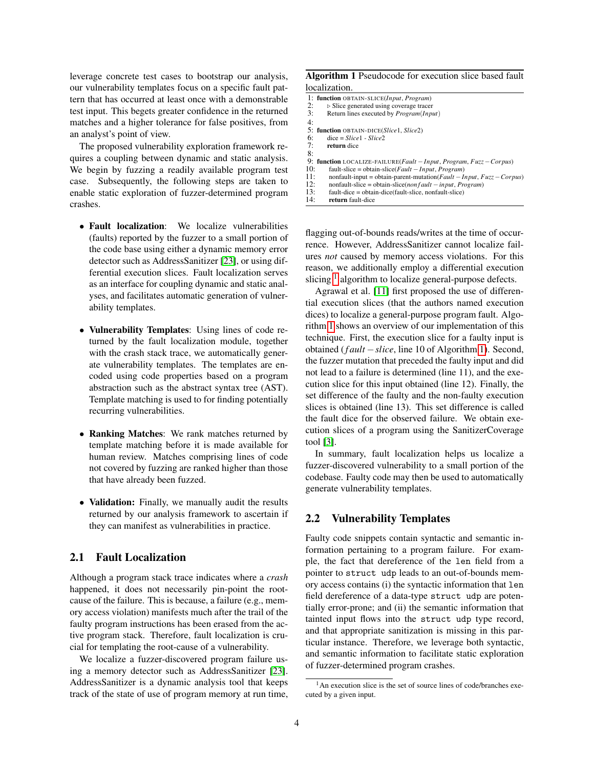leverage concrete test cases to bootstrap our analysis, our vulnerability templates focus on a specific fault pattern that has occurred at least once with a demonstrable test input. This begets greater confidence in the returned matches and a higher tolerance for false positives, from an analyst's point of view.

The proposed vulnerability exploration framework requires a coupling between dynamic and static analysis. We begin by fuzzing a readily available program test case. Subsequently, the following steps are taken to enable static exploration of fuzzer-determined program crashes.

- Fault localization: We localize vulnerabilities (faults) reported by the fuzzer to a small portion of the code base using either a dynamic memory error detector such as AddressSanitizer [\[23\]](#page-10-0), or using differential execution slices. Fault localization serves as an interface for coupling dynamic and static analyses, and facilitates automatic generation of vulnerability templates.
- Vulnerability Templates: Using lines of code returned by the fault localization module, together with the crash stack trace, we automatically generate vulnerability templates. The templates are encoded using code properties based on a program abstraction such as the abstract syntax tree (AST). Template matching is used to for finding potentially recurring vulnerabilities.
- Ranking Matches: We rank matches returned by template matching before it is made available for human review. Matches comprising lines of code not covered by fuzzing are ranked higher than those that have already been fuzzed.
- Validation: Finally, we manually audit the results returned by our analysis framework to ascertain if they can manifest as vulnerabilities in practice.

# 2.1 Fault Localization

Although a program stack trace indicates where a *crash* happened, it does not necessarily pin-point the rootcause of the failure. This is because, a failure (e.g., memory access violation) manifests much after the trail of the faulty program instructions has been erased from the active program stack. Therefore, fault localization is crucial for templating the root-cause of a vulnerability.

We localize a fuzzer-discovered program failure using a memory detector such as AddressSanitizer [\[23\]](#page-10-0). AddressSanitizer is a dynamic analysis tool that keeps track of the state of use of program memory at run time,

#### Algorithm 1 Pseudocode for execution slice based fault localization.

<span id="page-3-1"></span>

|     | 1: function OBTAIN-SLICE(Input, Program)                                            |
|-----|-------------------------------------------------------------------------------------|
| 2:  | $\triangleright$ Slice generated using coverage tracer                              |
| 3:  | Return lines executed by <i>Program</i> ( <i>Input</i> )                            |
| 4:  |                                                                                     |
|     | 5: function OBTAIN-DICE(Slice1, Slice2)                                             |
| 6:  | $dice = Slice1 - Slice2$                                                            |
| 7:  | return dice                                                                         |
| 8:  |                                                                                     |
|     | 9: function LOCALIZE-FAILURE(Fault - Input, Program, $Fuzz - Corpus$ )              |
| 10: | fault-slice = obtain-slice( <i>Fault – Input</i> , <i>Program</i> )                 |
| 11: | nonfault-input = obtain-parent-mutation( $Fault - Input$ , $Fuzz - Corpus$ )        |
| 12: | $nonfault \text{-}slice = obtain \text{-}slice (non fault \text{-} input, Program)$ |
| 13: | fault-dice = obtain-dice(fault-slice, nonfault-slice)                               |
| 14: | return fault-dice                                                                   |

flagging out-of-bounds reads/writes at the time of occurrence. However, AddressSanitizer cannot localize failures *not* caused by memory access violations. For this reason, we additionally employ a differential execution slicing  $<sup>1</sup>$  $<sup>1</sup>$  $<sup>1</sup>$  algorithm to localize general-purpose defects.</sup>

Agrawal et al. [\[11\]](#page-10-1) first proposed the use of differential execution slices (that the authors named execution dices) to localize a general-purpose program fault. Algorithm [1](#page-3-1) shows an overview of our implementation of this technique. First, the execution slice for a faulty input is obtained (*f ault* −*slice*, line 10 of Algorithm [1\)](#page-3-1). Second, the fuzzer mutation that preceded the faulty input and did not lead to a failure is determined (line 11), and the execution slice for this input obtained (line 12). Finally, the set difference of the faulty and the non-faulty execution slices is obtained (line 13). This set difference is called the fault dice for the observed failure. We obtain execution slices of a program using the SanitizerCoverage tool [\[3\]](#page-10-2).

In summary, fault localization helps us localize a fuzzer-discovered vulnerability to a small portion of the codebase. Faulty code may then be used to automatically generate vulnerability templates.

#### 2.2 Vulnerability Templates

Faulty code snippets contain syntactic and semantic information pertaining to a program failure. For example, the fact that dereference of the len field from a pointer to struct udp leads to an out-of-bounds memory access contains (i) the syntactic information that len field dereference of a data-type struct udp are potentially error-prone; and (ii) the semantic information that tainted input flows into the struct udp type record, and that appropriate sanitization is missing in this particular instance. Therefore, we leverage both syntactic, and semantic information to facilitate static exploration of fuzzer-determined program crashes.

<span id="page-3-0"></span><sup>&</sup>lt;sup>1</sup>An execution slice is the set of source lines of code/branches executed by a given input.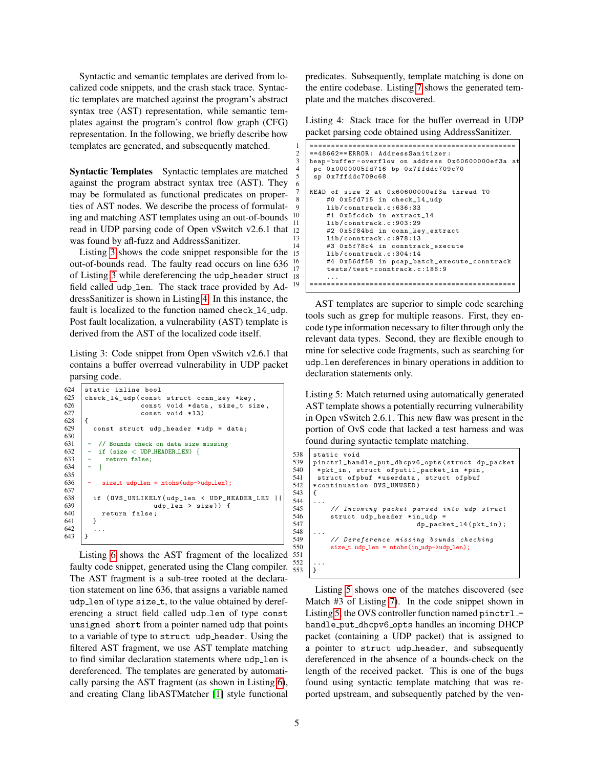Syntactic and semantic templates are derived from localized code snippets, and the crash stack trace. Syntactic templates are matched against the program's abstract syntax tree (AST) representation, while semantic templates against the program's control flow graph (CFG) representation. In the following, we briefly describe how templates are generated, and subsequently matched.

Syntactic Templates Syntactic templates are matched against the program abstract syntax tree (AST). They may be formulated as functional predicates on properties of AST nodes. We describe the process of formulating and matching AST templates using an out-of-bounds read in UDP parsing code of Open vSwitch v2.6.1 that 12 was found by afl-fuzz and AddressSanitizer.

Listing [3](#page-4-0) shows the code snippet responsible for the out-of-bounds read. The faulty read occurs on line 636 of Listing [3](#page-4-0) while dereferencing the udp header struct field called udp\_1en. The stack trace provided by AddressSanitizer is shown in Listing [4.](#page-4-1) In this instance, the fault is localized to the function named check 14 udp. Post fault localization, a vulnerability (AST) template is derived from the AST of the localized code itself.

<span id="page-4-0"></span>Listing 3: Code snippet from Open vSwitch v2.6.1 that contains a buffer overread vulnerability in UDP packet parsing code.

```
\begin{array}{c|c}\n624 & \text{static inline bool} \\
625 & \text{check 14 ub} & \text{const}\n\end{array}625 check_14_udp (const struct conn_key * key 626 const void * data, size t s
\begin{array}{c|c}\n 626 & \text{const void *data, size_t size,} \\
 \hline\n 627 & \text{const void *13}\n \end{array}const void *13)
628
629 const struct udp_header * udp = data ;
630
631 - // Bounds check on data size missing<br>632 - if (size < UDP_HEADER_LEN) {
\begin{array}{c|c} 632 & - & \text{if (size} < \text{UDP-HEADER. } \\ 633 & - & \text{return false;} \end{array}return false;
634
635<br>636
                  size_t udp_len = ntohs(udp->udp_len);
637
638 if (0VS\_UNLIKELY (udp_len \lt CDP_EEADER_LEN \mid 639) if (0VS\_UNLIKELY (udp_len \gt size)) f
639 \begin{array}{c|c}\n639 & \text{udp\_len} > \text{size})\n\end{array} {<br>640 return false;
              return false;<br>}
641 }
\begin{array}{c} 642 \\ 643 \end{array} }
643 }
```
Listing [6](#page-5-0) shows the AST fragment of the localized 551 faulty code snippet, generated using the Clang compiler.  $\frac{552}{553}$  ... The AST fragment is a sub-tree rooted at the declaration statement on line 636, that assigns a variable named udp\_len of type size\_t, to the value obtained by dereferencing a struct field called udp\_len of type const unsigned short from a pointer named udp that points to a variable of type to struct udp header. Using the filtered AST fragment, we use AST template matching to find similar declaration statements where udp\_len is dereferenced. The templates are generated by automatically parsing the AST fragment (as shown in Listing [6\)](#page-5-0), and creating Clang libASTMatcher [\[1\]](#page-10-3) style functional

predicates. Subsequently, template matching is done on the entire codebase. Listing [7](#page-5-1) shows the generated template and the matches discovered.

<span id="page-4-1"></span>Listing 4: Stack trace for the buffer overread in UDP packet parsing code obtained using AddressSanitizer.

```
1 ================================================
     2 ==48662== ERROR : AddressSanitizer :
    heap-buffer-overflow on address 0x60600000ef3a at
      pc 0x0000005fd716 bp 0x7ffddc709c70
      5 sp 0 x7ffddc709c68
     READ of size 2 at 0x60600000ef3a thread T0
         #0 0x5fd715 in check_14_udp
9 lib/conntrack.c:636:33<br>10 #1 0x5fcdcb in extract
          #1 0x5fcdcb in extract_14
11 lib/conntrack.c: 903:29
12 #2 0x5f84bd in conn_key_extract<br>13 1ib/conntrack.c:978:13
         lib/conntrack.c: 978:13
          14 #3 0 x5f78c4 in conntrack_execute
          15 lib / conntrack . c :304:14
16 #4 0 x56df58 in pcap_batch_execute_conntrack
\begin{array}{c|c}\n 17 & \text{tests/test-contract.c:186:9} \\
 \hline\n 18 & \text{if } \n \end{array}18 ...
19 ================================================
```
AST templates are superior to simple code searching tools such as grep for multiple reasons. First, they encode type information necessary to filter through only the relevant data types. Second, they are flexible enough to mine for selective code fragments, such as searching for udp len dereferences in binary operations in addition to declaration statements only.

<span id="page-4-2"></span>Listing 5: Match returned using automatically generated AST template shows a potentially recurring vulnerability in Open vSwitch 2.6.1. This new flaw was present in the portion of OvS code that lacked a test harness and was found during syntactic template matching.

```
\begin{array}{c|c} 538 \overline{)} & \text{static void} \\ 539 & \text{pinctrl\_han} \end{array}539 pinctrl_handle_put_dhcpv6_opts (struct dp_packet<br>540 *pkt in struct ofputil packet in *pin
540 * pkt_in, struct ofputil_packet_in * pin,<br>541 struct of phuf * userdata, struct of phuf
541 struct of pbuf *userdata, struct of pbuf<br>542 *continuation OVS_UNUSED)
         * continuation OVS_UNUSED)
543 {
544<br>545
545 // Incoming packet parsed into udp struct<br>546 struct udp header *in udp =
546 struct udp_header *in_udp =<br>547 dp_pack
                                                     dp_packet_14(pkt_in);
548<br>549
549 // Dereference missing bounds checking<br>550 size t udp len = ntohs(in udp->udp len):
                size_t udp len = ntohs(in udp->udp len);
```
Listing [5](#page-4-2) shows one of the matches discovered (see Match #3 of Listing [7\)](#page-5-1). In the code snippet shown in Listing [5,](#page-4-2) the OVS controller function named pinctrl \_handle put dhcpv6 opts handles an incoming DHCP packet (containing a UDP packet) that is assigned to a pointer to struct udp header, and subsequently dereferenced in the absence of a bounds-check on the length of the received packet. This is one of the bugs found using syntactic template matching that was reported upstream, and subsequently patched by the ven-

6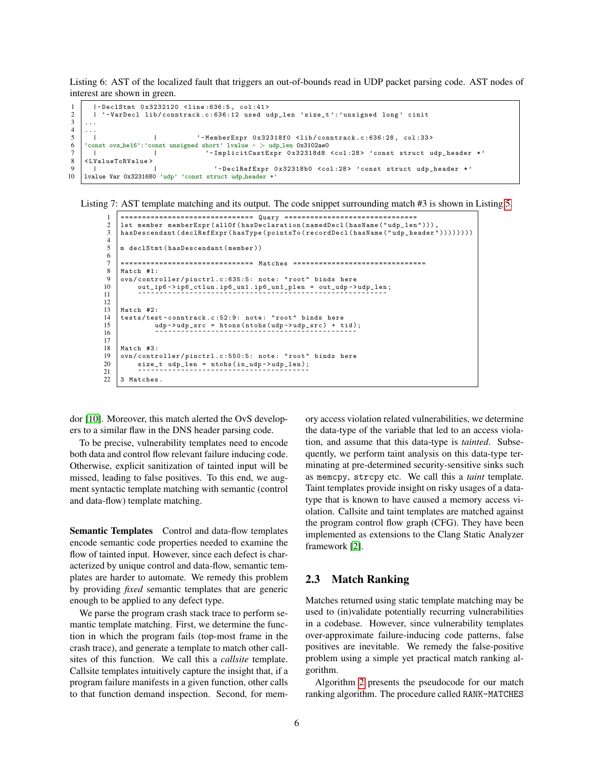<span id="page-5-0"></span>Listing 6: AST of the localized fault that triggers an out-of-bounds read in UDP packet parsing code. AST nodes of interest are shown in green.

```
1 | |-DeclStmt 0x3232120 <line:636:5, col:41><br>2 | '-VarDecl lib/conntrack.c:636:12 used u
2 | \vert '-VarDecl lib/conntrack.c:636:12 used udp_len 'size_t':'unsigned long' cinit 3
 \begin{array}{c|c} 3 & \ldots \\ 4 & \ldots \end{array}\begin{array}{c} 4 \\ 5 \end{array} ...
 5 | | | | '-MemberExpr 0x32318f0 <1ib/conntrack.c:636:28, col:33><br>6 \overline{)} const ovs_be16':'const unsigned short' lvalue - > udp_len 0x3102ae0
 6 'const ovs be16':'const unsigned short' lvalue - > udp len 0x3102ae0
 7 | | | | | ' <sup>'</sup>-ImplicitCastExpr 0x32318d8 <col:28> 'const struct udp_header *'<br>8 <LValueToRValue>
 \begin{array}{c|c}\n8 < LValueToRValue\n\end{array}9 | | | | | | | | '-DeclRefExpr 0x32318b0 <col:28> 'const struct udp_header *'<br>10 | 1value Var 0x3231680 'udp' 'const struct udp_header *'
     lvalue Var 0x3231680 'udp' 'const struct udp header *'
```
<span id="page-5-1"></span>Listing 7: AST template matching and its output. The code snippet surrounding match #3 is shown in Listing [5.](#page-4-2)

```
1 =============================== Query ===============================
 2 | let member memberExpr (allOf (hasDeclaration (namedDecl (hasName ("udp_len")))<br>3 | hasDescendant (declRefExpr (hasType (pointsTo (recordDecl (hasName ("udp_header
      hasDescendant ( declRefExpr ( hasType ( points To ( recordDecl ( hasName (" udp_header ") ) ) ) ) ) ) )
 \frac{4}{5}m declStmt (hasDescendant (member))
 rac{6}{7}7 =============================== Matches ===============================
 \begin{array}{c|c} 8 & \text{Match} & \text{#1:} \\ 9 & \text{ovn/contr} \end{array}9 ovn/controller/pinctrl.c:635:5: note: "root" binds here<br>10 out_ip6->ip6_ctlun.ip6_un1.ip6_un1_plen = out_udp->
10 out_ip6 -> ip6_ctlun . ip6_un1 . ip6_un1_plen = out_udp -> udp_len ;
11 ^~~~~~~~~~~~~~~~~~~~~~~~~~~~~~~~~~~~~~~~~~~~~~~~~~~~~~~~~~
12
\begin{array}{c|c}\n 13 & \text{Match} & \text{#2:} \\
 14 & \text{tests/tes}\n \end{array}tests/test-conntrack.c:52:9: note: "root" binds here
15 | \text{udp}->\text{udp}-\text{vdp} = htons (ntohs (\text{udp}->\text{udp}-\text{vdp}) + tid);
16 ^~~~~~~~~~~~~~~~~~~~~~~~~~~~~~~~~~~~~~~~~~~~~~~
17
\begin{array}{c|c}\n 18 & \text{Match} & \text{#3:} \\
 \hline\n 19 & \text{own/contr} \\
 \end{array}ovn/controller/pinctrl.c:550:5: note: "root" binds here
20 size_t udp_len = ntohs(in_udp->udp_len);<br>21
22 \mid 3 Matches.
```
dor [\[10\]](#page-10-4). Moreover, this match alerted the OvS developers to a similar flaw in the DNS header parsing code.

To be precise, vulnerability templates need to encode both data and control flow relevant failure inducing code. Otherwise, explicit sanitization of tainted input will be missed, leading to false positives. To this end, we augment syntactic template matching with semantic (control and data-flow) template matching.

Semantic Templates Control and data-flow templates encode semantic code properties needed to examine the flow of tainted input. However, since each defect is characterized by unique control and data-flow, semantic templates are harder to automate. We remedy this problem by providing *fixed* semantic templates that are generic enough to be applied to any defect type.

We parse the program crash stack trace to perform semantic template matching. First, we determine the function in which the program fails (top-most frame in the crash trace), and generate a template to match other callsites of this function. We call this a *callsite* template. Callsite templates intuitively capture the insight that, if a program failure manifests in a given function, other calls to that function demand inspection. Second, for memory access violation related vulnerabilities, we determine the data-type of the variable that led to an access violation, and assume that this data-type is *tainted*. Subsequently, we perform taint analysis on this data-type terminating at pre-determined security-sensitive sinks such as memcpy, strcpy etc. We call this a *taint* template. Taint templates provide insight on risky usages of a datatype that is known to have caused a memory access violation. Callsite and taint templates are matched against the program control flow graph (CFG). They have been implemented as extensions to the Clang Static Analyzer framework [\[2\]](#page-10-5).

# 2.3 Match Ranking

Matches returned using static template matching may be used to (in)validate potentially recurring vulnerabilities in a codebase. However, since vulnerability templates over-approximate failure-inducing code patterns, false positives are inevitable. We remedy the false-positive problem using a simple yet practical match ranking algorithm.

Algorithm [2](#page-6-0) presents the pseudocode for our match ranking algorithm. The procedure called RANK-MATCHES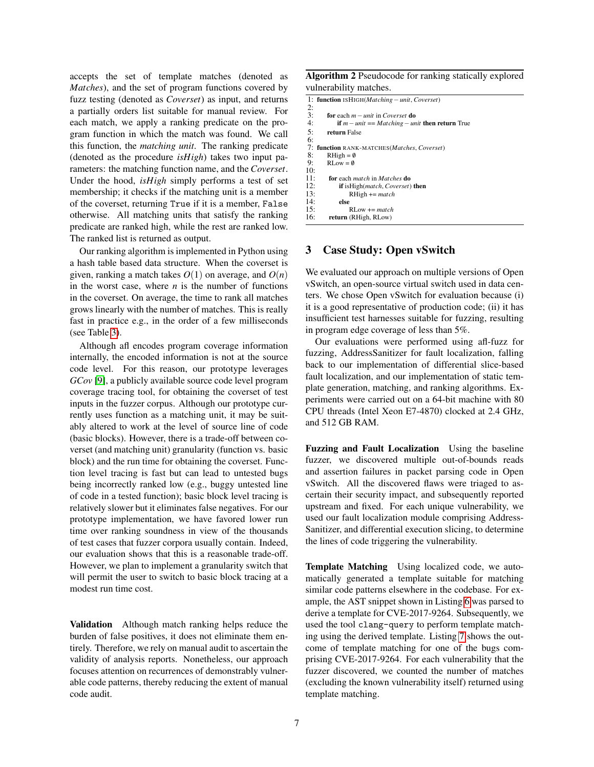accepts the set of template matches (denoted as *Matches*), and the set of program functions covered by fuzz testing (denoted as *Coverset*) as input, and returns a partially orders list suitable for manual review. For each match, we apply a ranking predicate on the program function in which the match was found. We call this function, the *matching unit*. The ranking predicate (denoted as the procedure *isHigh*) takes two input parameters: the matching function name, and the *Coverset*. Under the hood, *isHigh* simply performs a test of set membership; it checks if the matching unit is a member of the coverset, returning True if it is a member, False otherwise. All matching units that satisfy the ranking predicate are ranked high, while the rest are ranked low. The ranked list is returned as output.

Our ranking algorithm is implemented in Python using a hash table based data structure. When the coverset is given, ranking a match takes  $O(1)$  on average, and  $O(n)$ in the worst case, where  $n$  is the number of functions in the coverset. On average, the time to rank all matches grows linearly with the number of matches. This is really fast in practice e.g., in the order of a few milliseconds (see Table [3\)](#page-8-0).

Although afl encodes program coverage information internally, the encoded information is not at the source code level. For this reason, our prototype leverages *GCov* [\[9\]](#page-10-6), a publicly available source code level program coverage tracing tool, for obtaining the coverset of test inputs in the fuzzer corpus. Although our prototype currently uses function as a matching unit, it may be suitably altered to work at the level of source line of code (basic blocks). However, there is a trade-off between coverset (and matching unit) granularity (function vs. basic block) and the run time for obtaining the coverset. Function level tracing is fast but can lead to untested bugs being incorrectly ranked low (e.g., buggy untested line of code in a tested function); basic block level tracing is relatively slower but it eliminates false negatives. For our prototype implementation, we have favored lower run time over ranking soundness in view of the thousands of test cases that fuzzer corpora usually contain. Indeed, our evaluation shows that this is a reasonable trade-off. However, we plan to implement a granularity switch that will permit the user to switch to basic block tracing at a modest run time cost.

Validation Although match ranking helps reduce the burden of false positives, it does not eliminate them entirely. Therefore, we rely on manual audit to ascertain the validity of analysis reports. Nonetheless, our approach focuses attention on recurrences of demonstrably vulnerable code patterns, thereby reducing the extent of manual code audit.

Algorithm 2 Pseudocode for ranking statically explored vulnerability matches.

<span id="page-6-0"></span>

|     | 1: function $\text{ISHIGH}(Matching - unit, Coverset)$          |
|-----|-----------------------------------------------------------------|
| 2:  |                                                                 |
| 3:  | <b>for</b> each $m = unit$ in <i>Coverset</i> <b>do</b>         |
| 4:  | <b>if</b> $m$ – unit == Matching – unit <b>then return</b> True |
| 5:  | return False                                                    |
| 6:  |                                                                 |
|     | 7: function RANK-MATCHES(Matches, Coverset)                     |
| 8:  | $RHigh = \emptyset$                                             |
| 9:  | $RLow = \emptyset$                                              |
| 10: |                                                                 |
| 11: | for each <i>match</i> in <i>Matches</i> do                      |
| 12: | <b>if</b> isHigh( <i>match</i> , <i>Coverset</i> ) <b>then</b>  |
| 13: | $RHigh += match$                                                |
| 14: | else                                                            |
| 15: | $\text{RI}$ ow $\text{+}$ = match                               |
| 16: | return (RHigh, RLow)                                            |

# 3 Case Study: Open vSwitch

We evaluated our approach on multiple versions of Open vSwitch, an open-source virtual switch used in data centers. We chose Open vSwitch for evaluation because (i) it is a good representative of production code; (ii) it has insufficient test harnesses suitable for fuzzing, resulting in program edge coverage of less than 5%.

Our evaluations were performed using afl-fuzz for fuzzing, AddressSanitizer for fault localization, falling back to our implementation of differential slice-based fault localization, and our implementation of static template generation, matching, and ranking algorithms. Experiments were carried out on a 64-bit machine with 80 CPU threads (Intel Xeon E7-4870) clocked at 2.4 GHz, and 512 GB RAM.

Fuzzing and Fault Localization Using the baseline fuzzer, we discovered multiple out-of-bounds reads and assertion failures in packet parsing code in Open vSwitch. All the discovered flaws were triaged to ascertain their security impact, and subsequently reported upstream and fixed. For each unique vulnerability, we used our fault localization module comprising Address-Sanitizer, and differential execution slicing, to determine the lines of code triggering the vulnerability.

Template Matching Using localized code, we automatically generated a template suitable for matching similar code patterns elsewhere in the codebase. For example, the AST snippet shown in Listing [6](#page-5-0) was parsed to derive a template for CVE-2017-9264. Subsequently, we used the tool clang-query to perform template matching using the derived template. Listing [7](#page-5-1) shows the outcome of template matching for one of the bugs comprising CVE-2017-9264. For each vulnerability that the fuzzer discovered, we counted the number of matches (excluding the known vulnerability itself) returned using template matching.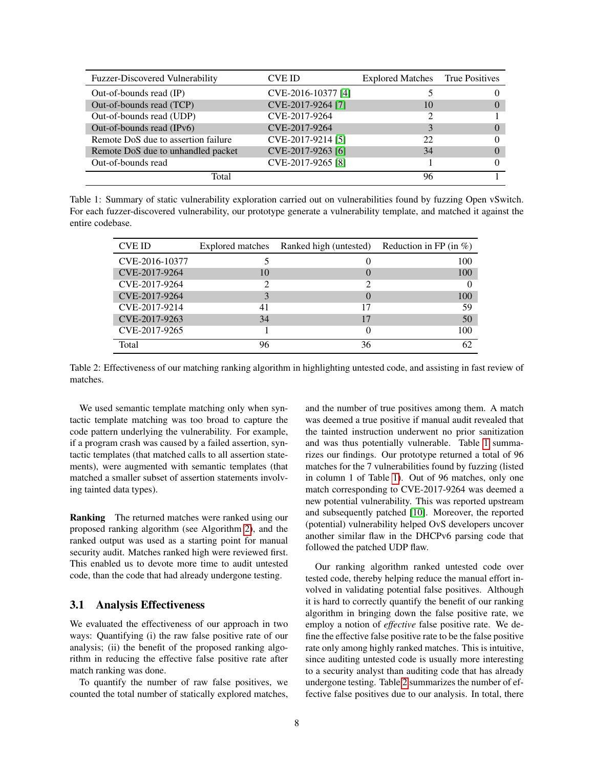| <b>Fuzzer-Discovered Vulnerability</b> | CVE ID             | <b>Explored Matches</b> True Positives |              |
|----------------------------------------|--------------------|----------------------------------------|--------------|
| Out-of-bounds read (IP)                | CVE-2016-10377 [4] |                                        |              |
| Out-of-bounds read (TCP)               | CVE-2017-9264 [7]  | 10                                     | $\mathbf{0}$ |
| Out-of-bounds read (UDP)               | CVE-2017-9264      |                                        |              |
| Out-of-bounds read (IPv6)              | CVE-2017-9264      |                                        | $\mathbf{0}$ |
| Remote DoS due to assertion failure    | CVE-2017-9214 [5]  | 22                                     | 0            |
| Remote DoS due to unhandled packet     | CVE-2017-9263 [6]  | 34                                     | $\Omega$     |
| Out-of-bounds read                     | CVE-2017-9265 [8]  |                                        | 0            |
| Total                                  |                    | 96                                     |              |

Table 1: Summary of static vulnerability exploration carried out on vulnerabilities found by fuzzing Open vSwitch. For each fuzzer-discovered vulnerability, our prototype generate a vulnerability template, and matched it against the entire codebase.

| <b>CVE ID</b>  | Explored matches | Ranked high (untested) | Reduction in FP (in $\%$ ) |
|----------------|------------------|------------------------|----------------------------|
| CVE-2016-10377 |                  | 0                      | 100                        |
| CVE-2017-9264  | 10               | $\theta$               | 100                        |
| CVE-2017-9264  |                  |                        |                            |
| CVE-2017-9264  | 3                | $\left($               | 100                        |
| CVE-2017-9214  | 41               | 17                     | 59                         |
| CVE-2017-9263  | 34               | 17                     | 50                         |
| CVE-2017-9265  |                  | 0                      | 100                        |
| Total          | 96               | 36                     | 62                         |

Table 2: Effectiveness of our matching ranking algorithm in highlighting untested code, and assisting in fast review of matches.

We used semantic template matching only when syntactic template matching was too broad to capture the code pattern underlying the vulnerability. For example, if a program crash was caused by a failed assertion, syntactic templates (that matched calls to all assertion statements), were augmented with semantic templates (that matched a smaller subset of assertion statements involving tainted data types).

Ranking The returned matches were ranked using our proposed ranking algorithm (see Algorithm [2\)](#page-6-0), and the ranked output was used as a starting point for manual security audit. Matches ranked high were reviewed first. This enabled us to devote more time to audit untested code, than the code that had already undergone testing.

#### 3.1 Analysis Effectiveness

We evaluated the effectiveness of our approach in two ways: Quantifying (i) the raw false positive rate of our analysis; (ii) the benefit of the proposed ranking algorithm in reducing the effective false positive rate after match ranking was done.

To quantify the number of raw false positives, we counted the total number of statically explored matches, <span id="page-7-1"></span><span id="page-7-0"></span>and the number of true positives among them. A match was deemed a true positive if manual audit revealed that the tainted instruction underwent no prior sanitization and was thus potentially vulnerable. Table [1](#page-7-0) summarizes our findings. Our prototype returned a total of 96 matches for the 7 vulnerabilities found by fuzzing (listed in column 1 of Table [1\)](#page-7-0). Out of 96 matches, only one match corresponding to CVE-2017-9264 was deemed a new potential vulnerability. This was reported upstream and subsequently patched [\[10\]](#page-10-4). Moreover, the reported (potential) vulnerability helped OvS developers uncover another similar flaw in the DHCPv6 parsing code that followed the patched UDP flaw.

Our ranking algorithm ranked untested code over tested code, thereby helping reduce the manual effort involved in validating potential false positives. Although it is hard to correctly quantify the benefit of our ranking algorithm in bringing down the false positive rate, we employ a notion of *effective* false positive rate. We define the effective false positive rate to be the false positive rate only among highly ranked matches. This is intuitive, since auditing untested code is usually more interesting to a security analyst than auditing code that has already undergone testing. Table [2](#page-7-1) summarizes the number of effective false positives due to our analysis. In total, there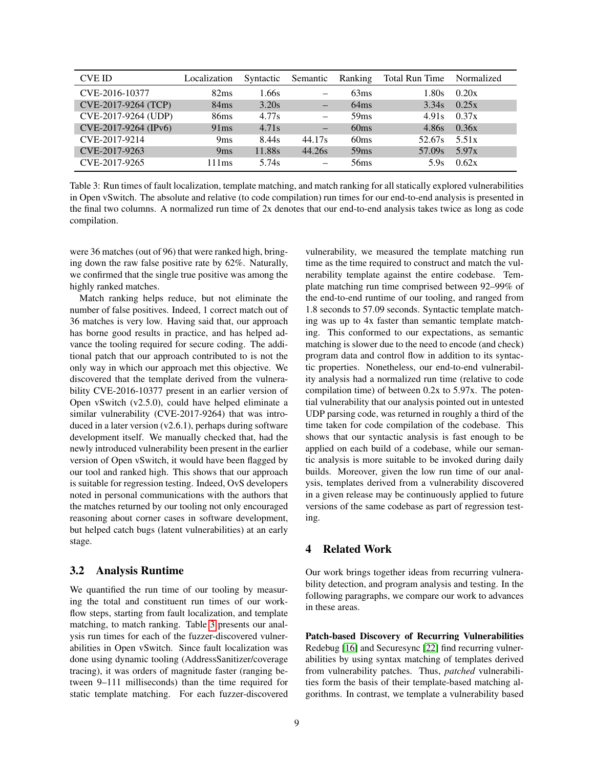| <b>CVE ID</b>        | Localization     | Syntactic | Semantic                 | Ranking          | Total Run Time | Normalized |
|----------------------|------------------|-----------|--------------------------|------------------|----------------|------------|
| CVE-2016-10377       | 82ms             | 1.66s     | -                        | 63ms             | 1.80s          | 0.20x      |
| CVE-2017-9264 (TCP)  | 84ms             | 3.20s     | $\qquad \qquad -$        | 64ms             | 3.34s          | 0.25x      |
| CVE-2017-9264 (UDP)  | 86 <sub>ms</sub> | 4.77s     | $\overline{\phantom{0}}$ | 59ms             | 4.91s          | 0.37x      |
| CVE-2017-9264 (IPv6) | 91ms             | 4.71s     | —                        | 60ms             | 4.86s          | 0.36x      |
| CVE-2017-9214        | 9 <sub>ms</sub>  | 8.44s     | 44.17s                   | 60 <sub>ms</sub> | 52.67s         | 5.51x      |
| CVE-2017-9263        | 9ms              | 11.88s    | 44.26s                   | 59ms             | 57.09s         | 5.97x      |
| CVE-2017-9265        | 111ms            | 5.74s     | $\overline{\phantom{0}}$ | 56 <sub>ms</sub> | 5.9s           | 0.62x      |

Table 3: Run times of fault localization, template matching, and match ranking for all statically explored vulnerabilities in Open vSwitch. The absolute and relative (to code compilation) run times for our end-to-end analysis is presented in the final two columns. A normalized run time of 2x denotes that our end-to-end analysis takes twice as long as code compilation.

were 36 matches (out of 96) that were ranked high, bringing down the raw false positive rate by 62%. Naturally, we confirmed that the single true positive was among the highly ranked matches.

Match ranking helps reduce, but not eliminate the number of false positives. Indeed, 1 correct match out of 36 matches is very low. Having said that, our approach has borne good results in practice, and has helped advance the tooling required for secure coding. The additional patch that our approach contributed to is not the only way in which our approach met this objective. We discovered that the template derived from the vulnerability CVE-2016-10377 present in an earlier version of Open vSwitch (v2.5.0), could have helped eliminate a similar vulnerability (CVE-2017-9264) that was introduced in a later version (v2.6.1), perhaps during software development itself. We manually checked that, had the newly introduced vulnerability been present in the earlier version of Open vSwitch, it would have been flagged by our tool and ranked high. This shows that our approach is suitable for regression testing. Indeed, OvS developers noted in personal communications with the authors that the matches returned by our tooling not only encouraged reasoning about corner cases in software development, but helped catch bugs (latent vulnerabilities) at an early stage.

# 3.2 Analysis Runtime

We quantified the run time of our tooling by measuring the total and constituent run times of our workflow steps, starting from fault localization, and template matching, to match ranking. Table [3](#page-8-0) presents our analysis run times for each of the fuzzer-discovered vulnerabilities in Open vSwitch. Since fault localization was done using dynamic tooling (AddressSanitizer/coverage tracing), it was orders of magnitude faster (ranging between 9–111 milliseconds) than the time required for static template matching. For each fuzzer-discovered <span id="page-8-0"></span>vulnerability, we measured the template matching run time as the time required to construct and match the vulnerability template against the entire codebase. Template matching run time comprised between 92–99% of the end-to-end runtime of our tooling, and ranged from 1.8 seconds to 57.09 seconds. Syntactic template matching was up to 4x faster than semantic template matching. This conformed to our expectations, as semantic matching is slower due to the need to encode (and check) program data and control flow in addition to its syntactic properties. Nonetheless, our end-to-end vulnerability analysis had a normalized run time (relative to code compilation time) of between 0.2x to 5.97x. The potential vulnerability that our analysis pointed out in untested UDP parsing code, was returned in roughly a third of the time taken for code compilation of the codebase. This shows that our syntactic analysis is fast enough to be applied on each build of a codebase, while our semantic analysis is more suitable to be invoked during daily builds. Moreover, given the low run time of our analysis, templates derived from a vulnerability discovered in a given release may be continuously applied to future versions of the same codebase as part of regression testing.

# 4 Related Work

Our work brings together ideas from recurring vulnerability detection, and program analysis and testing. In the following paragraphs, we compare our work to advances in these areas.

Patch-based Discovery of Recurring Vulnerabilities Redebug [\[16\]](#page-10-12) and Securesync [\[22\]](#page-10-13) find recurring vulnerabilities by using syntax matching of templates derived from vulnerability patches. Thus, *patched* vulnerabilities form the basis of their template-based matching algorithms. In contrast, we template a vulnerability based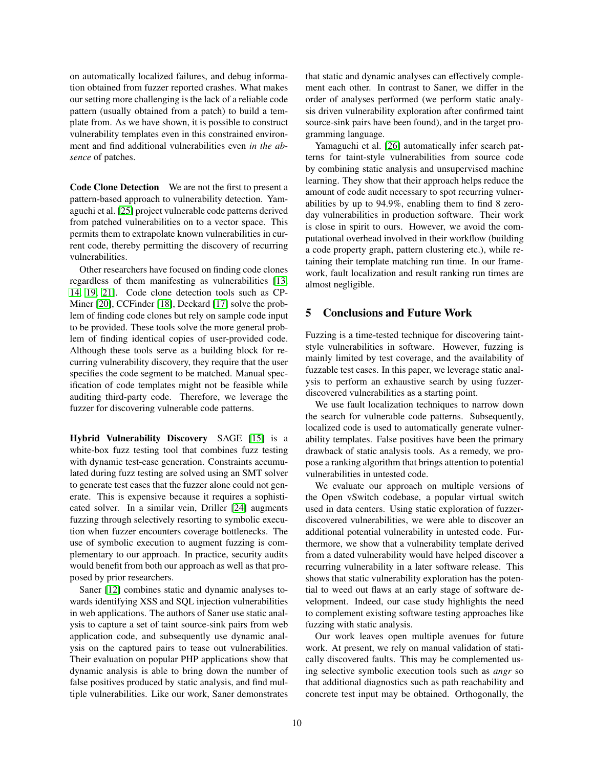on automatically localized failures, and debug information obtained from fuzzer reported crashes. What makes our setting more challenging is the lack of a reliable code pattern (usually obtained from a patch) to build a template from. As we have shown, it is possible to construct vulnerability templates even in this constrained environment and find additional vulnerabilities even *in the absence* of patches.

Code Clone Detection We are not the first to present a pattern-based approach to vulnerability detection. Yamaguchi et al. [\[25\]](#page-11-0) project vulnerable code patterns derived from patched vulnerabilities on to a vector space. This permits them to extrapolate known vulnerabilities in current code, thereby permitting the discovery of recurring vulnerabilities.

Other researchers have focused on finding code clones regardless of them manifesting as vulnerabilities [\[13,](#page-10-14) [14,](#page-10-15) [19,](#page-10-16) [21\]](#page-10-17). Code clone detection tools such as CP-Miner [\[20\]](#page-10-18), CCFinder [\[18\]](#page-10-19), Deckard [\[17\]](#page-10-20) solve the problem of finding code clones but rely on sample code input to be provided. These tools solve the more general problem of finding identical copies of user-provided code. Although these tools serve as a building block for recurring vulnerability discovery, they require that the user specifies the code segment to be matched. Manual specification of code templates might not be feasible while auditing third-party code. Therefore, we leverage the fuzzer for discovering vulnerable code patterns.

Hybrid Vulnerability Discovery SAGE [\[15\]](#page-10-21) is a white-box fuzz testing tool that combines fuzz testing with dynamic test-case generation. Constraints accumulated during fuzz testing are solved using an SMT solver to generate test cases that the fuzzer alone could not generate. This is expensive because it requires a sophisticated solver. In a similar vein, Driller [\[24\]](#page-11-1) augments fuzzing through selectively resorting to symbolic execution when fuzzer encounters coverage bottlenecks. The use of symbolic execution to augment fuzzing is complementary to our approach. In practice, security audits would benefit from both our approach as well as that proposed by prior researchers.

Saner [\[12\]](#page-10-22) combines static and dynamic analyses towards identifying XSS and SQL injection vulnerabilities in web applications. The authors of Saner use static analysis to capture a set of taint source-sink pairs from web application code, and subsequently use dynamic analysis on the captured pairs to tease out vulnerabilities. Their evaluation on popular PHP applications show that dynamic analysis is able to bring down the number of false positives produced by static analysis, and find multiple vulnerabilities. Like our work, Saner demonstrates that static and dynamic analyses can effectively complement each other. In contrast to Saner, we differ in the order of analyses performed (we perform static analysis driven vulnerability exploration after confirmed taint source-sink pairs have been found), and in the target programming language.

Yamaguchi et al. [\[26\]](#page-11-2) automatically infer search patterns for taint-style vulnerabilities from source code by combining static analysis and unsupervised machine learning. They show that their approach helps reduce the amount of code audit necessary to spot recurring vulnerabilities by up to 94.9%, enabling them to find 8 zeroday vulnerabilities in production software. Their work is close in spirit to ours. However, we avoid the computational overhead involved in their workflow (building a code property graph, pattern clustering etc.), while retaining their template matching run time. In our framework, fault localization and result ranking run times are almost negligible.

#### 5 Conclusions and Future Work

Fuzzing is a time-tested technique for discovering taintstyle vulnerabilities in software. However, fuzzing is mainly limited by test coverage, and the availability of fuzzable test cases. In this paper, we leverage static analysis to perform an exhaustive search by using fuzzerdiscovered vulnerabilities as a starting point.

We use fault localization techniques to narrow down the search for vulnerable code patterns. Subsequently, localized code is used to automatically generate vulnerability templates. False positives have been the primary drawback of static analysis tools. As a remedy, we propose a ranking algorithm that brings attention to potential vulnerabilities in untested code.

We evaluate our approach on multiple versions of the Open vSwitch codebase, a popular virtual switch used in data centers. Using static exploration of fuzzerdiscovered vulnerabilities, we were able to discover an additional potential vulnerability in untested code. Furthermore, we show that a vulnerability template derived from a dated vulnerability would have helped discover a recurring vulnerability in a later software release. This shows that static vulnerability exploration has the potential to weed out flaws at an early stage of software development. Indeed, our case study highlights the need to complement existing software testing approaches like fuzzing with static analysis.

Our work leaves open multiple avenues for future work. At present, we rely on manual validation of statically discovered faults. This may be complemented using selective symbolic execution tools such as *angr* so that additional diagnostics such as path reachability and concrete test input may be obtained. Orthogonally, the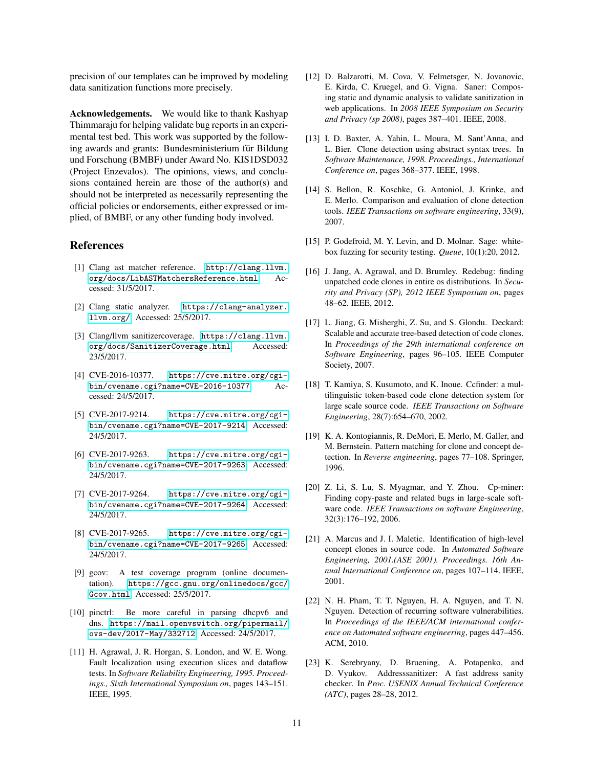precision of our templates can be improved by modeling data sanitization functions more precisely.

Acknowledgements. We would like to thank Kashyap Thimmaraju for helping validate bug reports in an experimental test bed. This work was supported by the following awards and grants: Bundesministerium für Bildung und Forschung (BMBF) under Award No. KIS1DSD032 (Project Enzevalos). The opinions, views, and conclusions contained herein are those of the author(s) and should not be interpreted as necessarily representing the official policies or endorsements, either expressed or implied, of BMBF, or any other funding body involved.

#### References

- <span id="page-10-3"></span>[1] Clang ast matcher reference. [http://clang.llvm.](http://clang.llvm.org/docs/LibASTMatchersReference.html) [org/docs/LibASTMatchersReference.html](http://clang.llvm.org/docs/LibASTMatchersReference.html). Accessed: 31/5/2017.
- <span id="page-10-5"></span>[2] Clang static analyzer. [https://clang-analyzer.](https://clang-analyzer.llvm.org/) [llvm.org/](https://clang-analyzer.llvm.org/). Accessed: 25/5/2017.
- <span id="page-10-2"></span>[3] Clang/llvm sanitizercoverage. [https://clang.llvm.](https://clang.llvm.org/docs/SanitizerCoverage.html) [org/docs/SanitizerCoverage.html](https://clang.llvm.org/docs/SanitizerCoverage.html). Accessed: 23/5/2017.
- <span id="page-10-7"></span>[4] CVE-2016-10377. [https://cve.mitre.org/cgi](https://cve.mitre.org/cgi-bin/cvename.cgi?name=CVE-2016-10377)[bin/cvename.cgi?name=CVE-2016-10377](https://cve.mitre.org/cgi-bin/cvename.cgi?name=CVE-2016-10377). Accessed: 24/5/2017.
- <span id="page-10-9"></span>[5] CVE-2017-9214. [https://cve.mitre.org/cgi](https://cve.mitre.org/cgi-bin/cvename.cgi?name=CVE-2017-9214)[bin/cvename.cgi?name=CVE-2017-9214](https://cve.mitre.org/cgi-bin/cvename.cgi?name=CVE-2017-9214). Accessed: 24/5/2017.
- <span id="page-10-10"></span>[6] CVE-2017-9263. [https://cve.mitre.org/cgi](https://cve.mitre.org/cgi-bin/cvename.cgi?name=CVE-2017-9263)[bin/cvename.cgi?name=CVE-2017-9263](https://cve.mitre.org/cgi-bin/cvename.cgi?name=CVE-2017-9263). Accessed: 24/5/2017.
- <span id="page-10-8"></span>[7] CVE-2017-9264. [https://cve.mitre.org/cgi](https://cve.mitre.org/cgi-bin/cvename.cgi?name=CVE-2017-9264)[bin/cvename.cgi?name=CVE-2017-9264](https://cve.mitre.org/cgi-bin/cvename.cgi?name=CVE-2017-9264). Accessed: 24/5/2017.
- <span id="page-10-11"></span>[8] CVE-2017-9265. [https://cve.mitre.org/cgi](https://cve.mitre.org/cgi-bin/cvename.cgi?name=CVE-2017-9265)[bin/cvename.cgi?name=CVE-2017-9265](https://cve.mitre.org/cgi-bin/cvename.cgi?name=CVE-2017-9265). Accessed: 24/5/2017.
- <span id="page-10-6"></span>[9] gcov: A test coverage program (online documentation). [https://gcc.gnu.org/onlinedocs/gcc/](https://gcc.gnu.org/onlinedocs/gcc/Gcov.html) [Gcov.html](https://gcc.gnu.org/onlinedocs/gcc/Gcov.html). Accessed: 25/5/2017.
- <span id="page-10-4"></span>[10] pinctrl: Be more careful in parsing dhcpv6 and dns. [https://mail.openvswitch.org/pipermail/](https://mail.openvswitch.org/pipermail/ovs-dev/2017-May/332712) [ovs-dev/2017-May/332712](https://mail.openvswitch.org/pipermail/ovs-dev/2017-May/332712). Accessed: 24/5/2017.
- <span id="page-10-1"></span>[11] H. Agrawal, J. R. Horgan, S. London, and W. E. Wong. Fault localization using execution slices and dataflow tests. In *Software Reliability Engineering, 1995. Proceedings., Sixth International Symposium on*, pages 143–151. IEEE, 1995.
- <span id="page-10-22"></span>[12] D. Balzarotti, M. Cova, V. Felmetsger, N. Jovanovic, E. Kirda, C. Kruegel, and G. Vigna. Saner: Composing static and dynamic analysis to validate sanitization in web applications. In *2008 IEEE Symposium on Security and Privacy (sp 2008)*, pages 387–401. IEEE, 2008.
- <span id="page-10-14"></span>[13] I. D. Baxter, A. Yahin, L. Moura, M. Sant'Anna, and L. Bier. Clone detection using abstract syntax trees. In *Software Maintenance, 1998. Proceedings., International Conference on*, pages 368–377. IEEE, 1998.
- <span id="page-10-15"></span>[14] S. Bellon, R. Koschke, G. Antoniol, J. Krinke, and E. Merlo. Comparison and evaluation of clone detection tools. *IEEE Transactions on software engineering*, 33(9), 2007.
- <span id="page-10-21"></span>[15] P. Godefroid, M. Y. Levin, and D. Molnar. Sage: whitebox fuzzing for security testing. *Queue*, 10(1):20, 2012.
- <span id="page-10-12"></span>[16] J. Jang, A. Agrawal, and D. Brumley. Redebug: finding unpatched code clones in entire os distributions. In *Security and Privacy (SP), 2012 IEEE Symposium on*, pages 48–62. IEEE, 2012.
- <span id="page-10-20"></span>[17] L. Jiang, G. Misherghi, Z. Su, and S. Glondu. Deckard: Scalable and accurate tree-based detection of code clones. In *Proceedings of the 29th international conference on Software Engineering*, pages 96–105. IEEE Computer Society, 2007.
- <span id="page-10-19"></span>[18] T. Kamiya, S. Kusumoto, and K. Inoue. Ccfinder: a multilinguistic token-based code clone detection system for large scale source code. *IEEE Transactions on Software Engineering*, 28(7):654–670, 2002.
- <span id="page-10-16"></span>[19] K. A. Kontogiannis, R. DeMori, E. Merlo, M. Galler, and M. Bernstein. Pattern matching for clone and concept detection. In *Reverse engineering*, pages 77–108. Springer, 1996.
- <span id="page-10-18"></span>[20] Z. Li, S. Lu, S. Myagmar, and Y. Zhou. Cp-miner: Finding copy-paste and related bugs in large-scale software code. *IEEE Transactions on software Engineering*, 32(3):176–192, 2006.
- <span id="page-10-17"></span>[21] A. Marcus and J. I. Maletic. Identification of high-level concept clones in source code. In *Automated Software Engineering, 2001.(ASE 2001). Proceedings. 16th Annual International Conference on*, pages 107–114. IEEE, 2001.
- <span id="page-10-13"></span>[22] N. H. Pham, T. T. Nguyen, H. A. Nguyen, and T. N. Nguyen. Detection of recurring software vulnerabilities. In *Proceedings of the IEEE/ACM international conference on Automated software engineering*, pages 447–456. ACM, 2010.
- <span id="page-10-0"></span>[23] K. Serebryany, D. Bruening, A. Potapenko, and D. Vyukov. Addresssanitizer: A fast address sanity checker. In *Proc. USENIX Annual Technical Conference (ATC)*, pages 28–28, 2012.